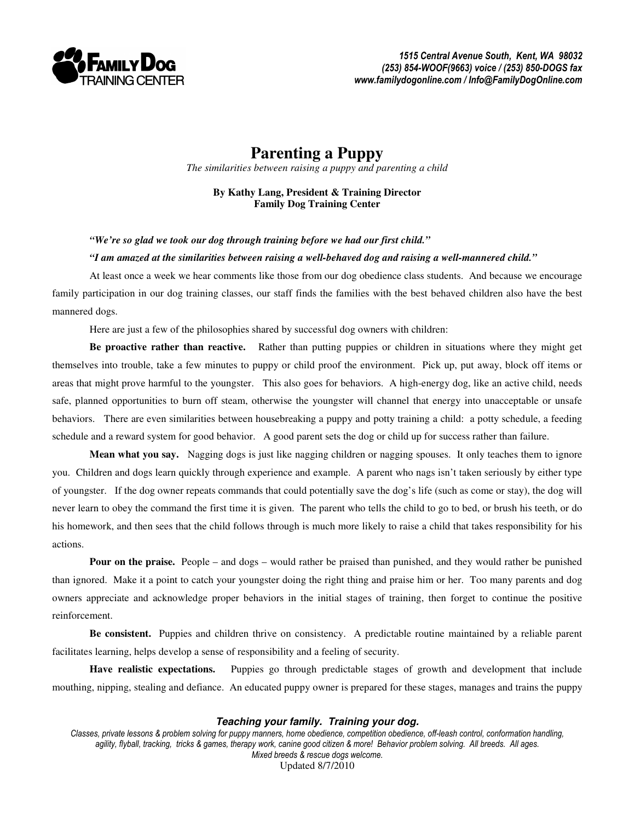

## **Parenting a Puppy**

*The similarities between raising a puppy and parenting a child* 

**By Kathy Lang, President & Training Director Family Dog Training Center** 

*"We're so glad we took our dog through training before we had our first child."* 

## *"I am amazed at the similarities between raising a well-behaved dog and raising a well-mannered child."*

 At least once a week we hear comments like those from our dog obedience class students. And because we encourage family participation in our dog training classes, our staff finds the families with the best behaved children also have the best mannered dogs.

Here are just a few of the philosophies shared by successful dog owners with children:

**Be proactive rather than reactive.** Rather than putting puppies or children in situations where they might get themselves into trouble, take a few minutes to puppy or child proof the environment. Pick up, put away, block off items or areas that might prove harmful to the youngster. This also goes for behaviors. A high-energy dog, like an active child, needs safe, planned opportunities to burn off steam, otherwise the youngster will channel that energy into unacceptable or unsafe behaviors. There are even similarities between housebreaking a puppy and potty training a child: a potty schedule, a feeding schedule and a reward system for good behavior. A good parent sets the dog or child up for success rather than failure.

**Mean what you say.** Nagging dogs is just like nagging children or nagging spouses. It only teaches them to ignore you. Children and dogs learn quickly through experience and example. A parent who nags isn't taken seriously by either type of youngster. If the dog owner repeats commands that could potentially save the dog's life (such as come or stay), the dog will never learn to obey the command the first time it is given. The parent who tells the child to go to bed, or brush his teeth, or do his homework, and then sees that the child follows through is much more likely to raise a child that takes responsibility for his actions.

**Pour on the praise.** People – and dogs – would rather be praised than punished, and they would rather be punished than ignored. Make it a point to catch your youngster doing the right thing and praise him or her. Too many parents and dog owners appreciate and acknowledge proper behaviors in the initial stages of training, then forget to continue the positive reinforcement.

**Be consistent.** Puppies and children thrive on consistency. A predictable routine maintained by a reliable parent facilitates learning, helps develop a sense of responsibility and a feeling of security.

**Have realistic expectations.** Puppies go through predictable stages of growth and development that include mouthing, nipping, stealing and defiance. An educated puppy owner is prepared for these stages, manages and trains the puppy

## **Teaching your family. Training your dog.**

Classes, private lessons & problem solving for puppy manners, home obedience, competition obedience, off-leash control, conformation handling, agility, flyball, tracking, tricks & games, therapy work, canine good citizen & more! Behavior problem solving. All breeds. All ages. Mixed breeds & rescue dogs welcome. Updated 8/7/2010